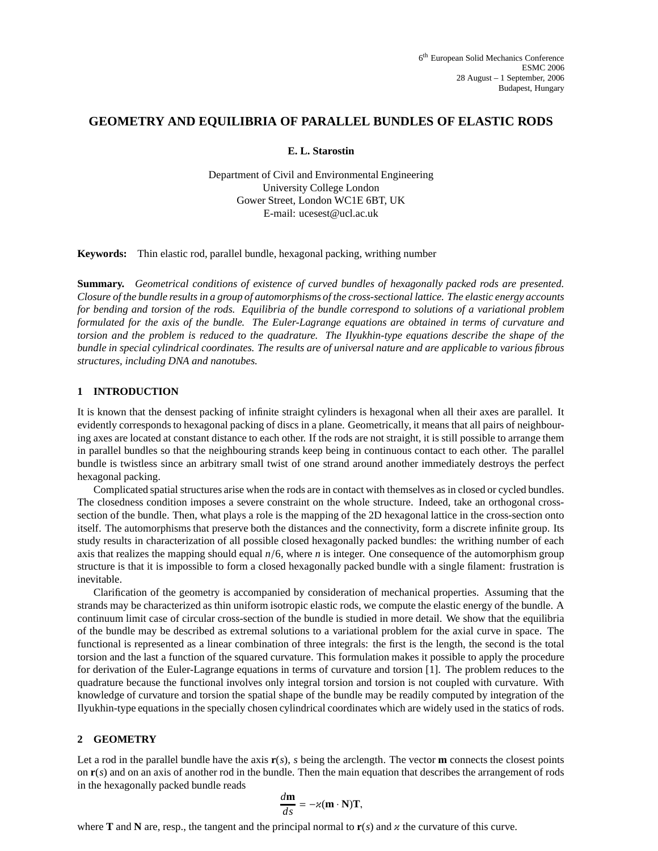# **GEOMETRY AND EQUILIBRIA OF PARALLEL BUNDLES OF ELASTIC RODS**

#### **E. L. Starostin**

Department of Civil and Environmental Engineering University College London Gower Street, London WC1E 6BT, UK E-mail: ucesest@ucl.ac.uk

**Keywords:** Thin elastic rod, parallel bundle, hexagonal packing, writhing number

**Summary.** *Geometrical conditions of existence of curved bundles of hexagonally packed rods are presented.* Closure of the bundle results in a group of automorphisms of the cross-sectional lattice. The elastic energy accounts for bending and torsion of the rods. Equilibria of the bundle correspond to solutions of a variational problem formulated for the axis of the bundle. The Euler-Lagrange equations are obtained in terms of curvature and torsion and the problem is reduced to the quadrature. The Ilyukhin-type equations describe the shape of the bundle in special cylindrical coordinates. The results are of universal nature and are applicable to various fibrous *structures, including DNA and nanotubes.*

# **1 INTRODUCTION**

It is known that the densest packing of infinite straight cylinders is hexagonal when all their axes are parallel. It evidently corresponds to hexagonal packing of discs in a plane. Geometrically, it means that all pairs of neighbouring axes are located at constant distance to each other. If the rods are not straight, it is still possible to arrange them in parallel bundles so that the neighbouring strands keep being in continuous contact to each other. The parallel bundle is twistless since an arbitrary small twist of one strand around another immediately destroys the perfect hexagonal packing.

Complicated spatial structures arise when the rods are in contact with themselves as in closed or cycled bundles. The closedness condition imposes a severe constraint on the whole structure. Indeed, take an orthogonal crosssection of the bundle. Then, what plays a role is the mapping of the 2D hexagonal lattice in the cross-section onto itself. The automorphisms that preserve both the distances and the connectivity, form a discrete infinite group. Its study results in characterization of all possible closed hexagonally packed bundles: the writhing number of each axis that realizes the mapping should equal *n*/6, where *n* is integer. One consequence of the automorphism group structure is that it is impossible to form a closed hexagonally packed bundle with a single filament: frustration is inevitable.

Clarification of the geometry is accompanied by consideration of mechanical properties. Assuming that the strands may be characterized as thin uniform isotropic elastic rods, we compute the elastic energy of the bundle. A continuum limit case of circular cross-section of the bundle is studied in more detail. We show that the equilibria of the bundle may be described as extremal solutions to a variational problem for the axial curve in space. The functional is represented as a linear combination of three integrals: the first is the length, the second is the total torsion and the last a function of the squared curvature. This formulation makes it possible to apply the procedure for derivation of the Euler-Lagrange equations in terms of curvature and torsion [1]. The problem reduces to the quadrature because the functional involves only integral torsion and torsion is not coupled with curvature. With knowledge of curvature and torsion the spatial shape of the bundle may be readily computed by integration of the Ilyukhin-type equations in the specially chosen cylindrical coordinates which are widely used in the statics of rods.

### **2 GEOMETRY**

Let a rod in the parallel bundle have the axis  $\mathbf{r}(s)$ , *s* being the arclength. The vector **m** connects the closest points on **r**(*s*) and on an axis of another rod in the bundle. Then the main equation that describes the arrangement of rods in the hexagonally packed bundle reads

$$
\frac{d\mathbf{m}}{ds} = -\varkappa (\mathbf{m} \cdot \mathbf{N}) \mathbf{T},
$$

where **T** and **N** are, resp., the tangent and the principal normal to  $\mathbf{r}(s)$  and  $\alpha$  the curvature of this curve.